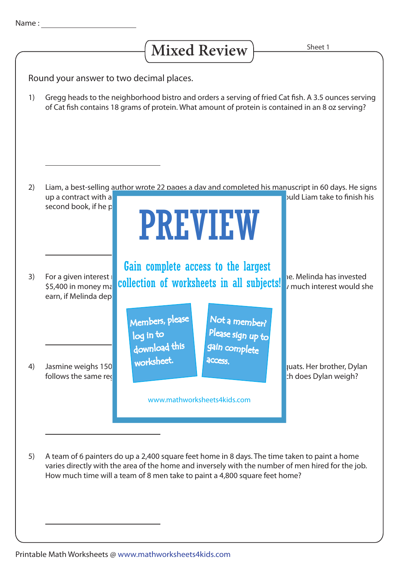| Name |  |
|------|--|
|      |  |
|      |  |

## Mixed Review **Fig. 2** Sheet 1

Round your answer to two decimal places.

Gregg heads to the neighborhood bistro and orders a serving of fried Cat fish. A 3.5 ounces serving of Cat fish contains 18 grams of protein. What amount of protein is contained in an 8 oz serving? 1)



A team of 6 painters do up a 2,400 square feet home in 8 days. The time taken to paint a home varies directly with the area of the home and inversely with the number of men hired for the job. How much time will a team of 8 men take to paint a 4,800 square feet home? 5)